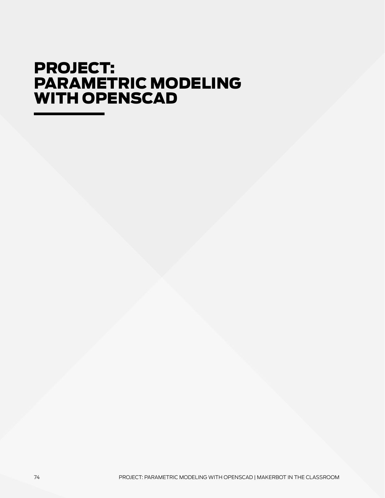## PROJECT: PARAMETRIC MODELING with OpenSCAD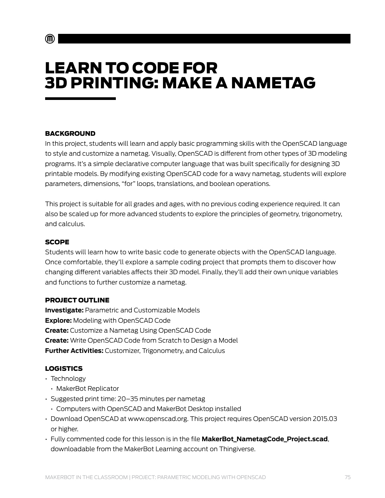# LEARN TO CODE FOR 3D PRINTING: MAKE A NAMETAG

#### **BACKGROUND**

In this project, students will learn and apply basic programming skills with the OpenSCAD language to style and customize a nametag. Visually, OpenSCAD is different from other types of 3D modeling programs. It's a simple declarative computer language that was built specifically for designing 3D printable models. By modifying existing OpenSCAD code for a wavy nametag, students will explore parameters, dimensions, "for" loops, translations, and boolean operations.

This project is suitable for all grades and ages, with no previous coding experience required. It can also be scaled up for more advanced students to explore the principles of geometry, trigonometry, and calculus.

#### **SCOPE**

Students will learn how to write basic code to generate objects with the OpenSCAD language. Once comfortable, they'll explore a sample coding project that prompts them to discover how changing different variables affects their 3D model. Finally, they'll add their own unique variables and functions to further customize a nametag.

#### Project Outline

**Investigate:** Parametric and Customizable Models **Explore:** Modeling with OpenSCAD Code **Create:** Customize a Nametag Using OpenSCAD Code **Create:** Write OpenSCAD Code from Scratch to Design a Model **Further Activities:** Customizer, Trigonometry, and Calculus

#### Logistics

- Technology
	- MakerBot Replicator
- Suggested print time: 20–35 minutes per nametag
	- Computers with OpenSCAD and MakerBot Desktop installed
- [Download OpenSCAD at www.openscad.org.](http://www.openscad.org) This project requires OpenSCAD version 2015.03 or higher.
- Fully commented code for this lesson is in the file **MakerBot\_NametagCode\_Project.scad**, [downloadable from the MakerBot Learning account](https://www.thingiverse.com/MakerBotLearning/about) on Thingiverse.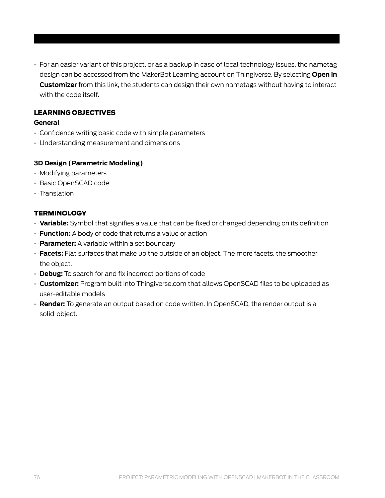• For an easier variant of this project, or as a backup in case of local technology issues, the nametag design can be accessed from the MakerBot Learning account on Thingiverse. By selecting **Open in Customizer** from this link, the students can design their own nametags without having to interact with the code itself.

#### Learning Objectives

#### **General**

- Confidence writing basic code with simple parameters
- Understanding measurement and dimensions

#### **3D Design (Parametric Modeling)**

- Modifying parameters
- Basic OpenSCAD code
- Translation

#### **TERMINOLOGY**

- **Variable:** Symbol that signifies a value that can be fixed or changed depending on its definition
- **Function:** A body of code that returns a value or action
- **Parameter:** A variable within a set boundary
- **Facets:** Flat surfaces that make up the outside of an object. The more facets, the smoother the object.
- **Debug:** To search for and fix incorrect portions of code
- **Customizer:** Program built into Thingiverse.com that allows OpenSCAD files to be uploaded as user-editable models
- **Render:** To generate an output based on code written. In OpenSCAD, the render output is a solid object.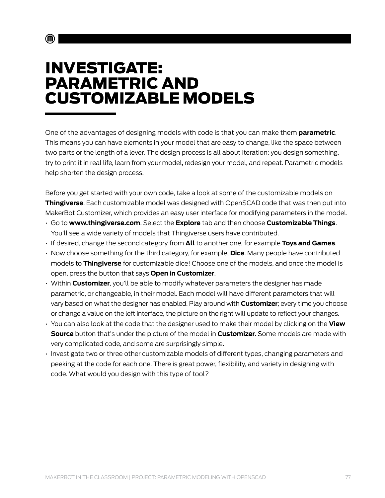## INVESTIGATE: Parametric and Customizable Models

 $\textcircled{\tiny{\textsf{m}}}$ 

One of the advantages of designing models with code is that you can make them **parametric**. This means you can have elements in your model that are easy to change, like the space between two parts or the length of a lever. The design process is all about iteration: you design something, try to print it in real life, learn from your model, redesign your model, and repeat. Parametric models help shorten the design process.

Before you get started with your own code, take a look at some of the customizable models on **Thingiverse**. Each customizable model was designed with OpenSCAD code that was then put into MakerBot Customizer, which provides an easy user interface for modifying parameters in the model.

- Go to **[www.thingiverse.com](http://www.thingiverse.com)**. Select the **Explore** tab and then choose **Customizable Things**. You'll see a wide variety of models that Thingiverse users have contributed.
- If desired, change the second category from **All** to another one, for example **Toys and Games**.
- Now choose something for the third category, for example, **Dice**. Many people have contributed models to **Thingiverse** for customizable dice! Choose one of the models, and once the model is open, press the button that says **Open in Customizer**.
- Within **Customizer**, you'll be able to modify whatever parameters the designer has made parametric, or changeable, in their model. Each model will have different parameters that will vary based on what the designer has enabled. Play around with **Customizer**; every time you choose or change a value on the left interface, the picture on the right will update to reflect your changes.
- You can also look at the code that the designer used to make their model by clicking on the **View Source** button that's under the picture of the model in **Customizer**. Some models are made with very complicated code, and some are surprisingly simple.
- Investigate two or three other customizable models of different types, changing parameters and peeking at the code for each one. There is great power, flexibility, and variety in designing with code. What would you design with this type of tool?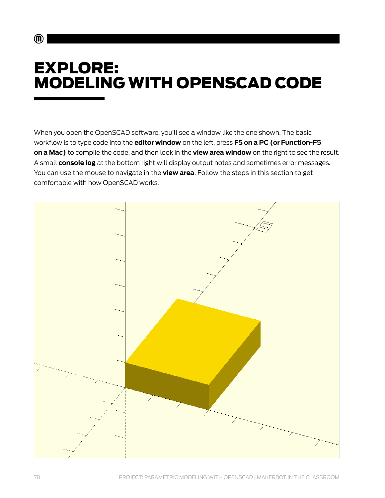# EXPLORE: MODELING WITH OPENSCAD CODE

When you open the OpenSCAD software, you'll see a window like the one shown. The basic workflow is to type code into the **editor window** on the left, press **F5 on a PC (or Function-F5 on a Mac)** to compile the code, and then look in the **view area window** on the right to see the result. A small **console log** at the bottom right will display output notes and sometimes error messages. You can use the mouse to navigate in the **view area**. Follow the steps in this section to get comfortable with how OpenSCAD works.



 $\mathbf{m}$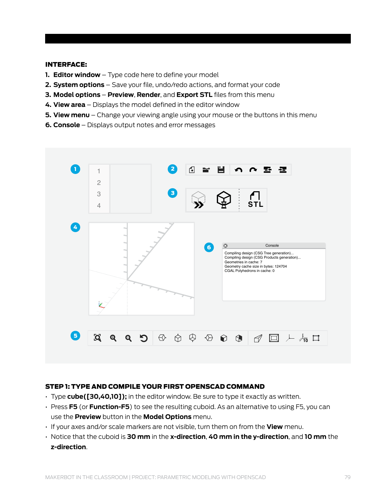#### Interface:

- **1. Editor window**  Type code here to define your model
- **2. System options** Save your file, undo/redo actions, and format your code
- **3. Model options Preview**, **Render**, and **Export STL** files from this menu
- **4. View area**  Displays the model defined in the editor window
- **5. View menu**  Change your viewing angle using your mouse or the buttons in this menu
- **6. Console**  Displays output notes and error messages



#### Step 1: Type and compile your first OpenSCAD command

- Type **cube([30,40,10]);** in the editor window. Be sure to type it exactly as written.
- Press **F5** (or **Function-F5**) to see the resulting cuboid. As an alternative to using F5, you can use the **Preview** button in the **Model Options** menu.
- If your axes and/or scale markers are not visible, turn them on from the **View** menu.
- Notice that the cuboid is **30 mm** in the **x-direction**, **40 mm in the y-direction**, and **10 mm** the **z-direction**.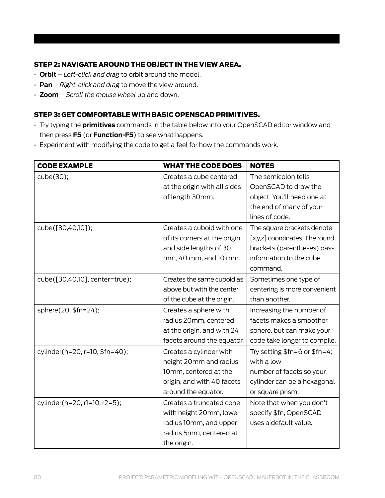#### Step 2: Navigate around the object in the View Area.

- **Orbit** – *Left-click and drag* to orbit around the model.
- **Pan** *Right-click and drag* to move the view around.
- **Zoom** *Scroll the mouse wheel* up and down.

#### Step 3: Get comfortable with basic OpenSCAD primitives.

- Try typing the **primitives** commands in the table below into your OpenSCAD editor window and then press **F5** (or **Function-F5**) to see what happens.
- Experiment with modifying the code to get a feel for how the commands work.

| <b>CODE EXAMPLE</b>            | <b>WHAT THE CODE DOES</b>    | <b>NOTES</b>                    |
|--------------------------------|------------------------------|---------------------------------|
| cube(30);                      | Creates a cube centered      | The semicolon tells             |
|                                | at the origin with all sides | OpenSCAD to draw the            |
|                                | of length 30mm.              | object. You'll need one at      |
|                                |                              | the end of many of your         |
|                                |                              | lines of code.                  |
| cube([30,40,10]);              | Creates a cuboid with one    | The square brackets denote      |
|                                | of its corners at the origin | [x,y,z] coordinates. The round  |
|                                | and side lengths of 30       | brackets (parentheses) pass     |
|                                | mm, 40 mm, and 10 mm.        | information to the cube         |
|                                |                              | command.                        |
| cube([30,40,10], center=true); | Creates the same cuboid as   | Sometimes one type of           |
|                                | above but with the center    | centering is more convenient    |
|                                | of the cube at the origin.   | than another.                   |
| sphere(20, \$fn=24);           | Creates a sphere with        | Increasing the number of        |
|                                | radius 20mm, centered        | facets makes a smoother         |
|                                | at the origin, and with 24   | sphere, but can make your       |
|                                | facets around the equator.   | code take longer to compile.    |
| cylinder(h=20, r=10, \$fn=40); | Creates a cylinder with      | Try setting $$fn=6$ or $$fn=4;$ |
|                                | height 20mm and radius       | with a low                      |
|                                | 10mm, centered at the        | number of facets so your        |
|                                | origin, and with 40 facets   | cylinder can be a hexagonal     |
|                                | around the equator.          | or square prism.                |
| cylinder(h=20, r1=10, r2=5);   | Creates a truncated cone     | Note that when you don't        |
|                                | with height 20mm, lower      | specify \$fn, OpenSCAD          |
|                                | radius 10mm, and upper       | uses a default value.           |
|                                | radius 5mm, centered at      |                                 |
|                                | the origin.                  |                                 |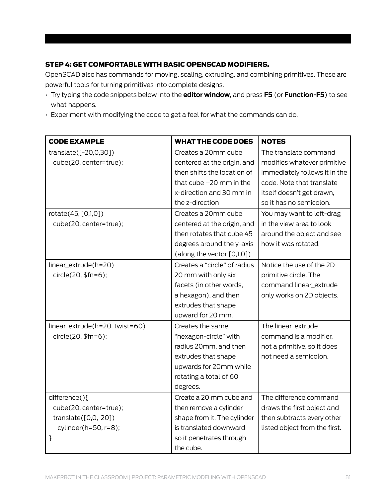#### Step 4: Get comfortable with basic OpenSCAD modifiers.

OpenSCAD also has commands for moving, scaling, extruding, and combining primitives. These are powerful tools for turning primitives into complete designs.

- Try typing the code snippets below into the **editor window**, and press **F5** (or **Function-F5**) to see what happens.
- Experiment with modifying the code to get a feel for what the commands can do.

| <b>CODE EXAMPLE</b>            | <b>WHAT THE CODE DOES</b>     | <b>NOTES</b>                  |
|--------------------------------|-------------------------------|-------------------------------|
| translate([-20,0,30])          | Creates a 20mm cube           | The translate command         |
| cube(20, center=true);         | centered at the origin, and   | modifies whatever primitive   |
|                                | then shifts the location of   | immediately follows it in the |
|                                | that cube -20 mm in the       | code. Note that translate     |
|                                | x-direction and 30 mm in      | itself doesn't get drawn,     |
|                                | the z-direction               | so it has no semicolon.       |
| rotate(45, [0,1,0])            | Creates a 20mm cube           | You may want to left-drag     |
| cube(20, center=true);         | centered at the origin, and   | in the view area to look      |
|                                | then rotates that cube 45     | around the object and see     |
|                                | degrees around the y-axis     | how it was rotated.           |
|                                | (along the vector $[0,1,0]$ ) |                               |
| linear_extrude(h=20)           | Creates a "circle" of radius  | Notice the use of the 2D      |
| circle(20, \$fn=6);            | 20 mm with only six           | primitive circle. The         |
|                                | facets (in other words,       | command linear_extrude        |
|                                | a hexagon), and then          | only works on 2D objects.     |
|                                | extrudes that shape           |                               |
|                                | upward for 20 mm.             |                               |
| linear_extrude(h=20, twist=60) | Creates the same              | The linear_extrude            |
| circle(20, \$fn=6);            | "hexagon-circle" with         | command is a modifier,        |
|                                | radius 20mm, and then         | not a primitive, so it does   |
|                                | extrudes that shape           | not need a semicolon.         |
|                                | upwards for 20mm while        |                               |
|                                | rotating a total of 60        |                               |
|                                | degrees.                      |                               |
| difference(){                  | Create a 20 mm cube and       | The difference command        |
| cube(20, center=true);         | then remove a cylinder        | draws the first object and    |
| translate $([0,0,-20])$        | shape from it. The cylinder   | then subtracts every other    |
| cylinder( $h=50$ , $r=8$ );    | is translated downward        | listed object from the first. |
| }                              | so it penetrates through      |                               |
|                                | the cube.                     |                               |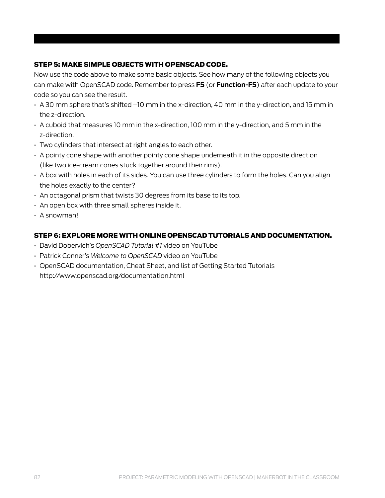#### Step 5: Make simple objects with OpenSCAD code.

Now use the code above to make some basic objects. See how many of the following objects you can make with OpenSCAD code. Remember to press **F5** (or **Function-F5**) after each update to your code so you can see the result.

- A 30 mm sphere that's shifted –10 mm in the x-direction, 40 mm in the y-direction, and 15 mm in the z-direction.
- A cuboid that measures 10 mm in the x-direction, 100 mm in the y-direction, and 5 mm in the z-direction.
- Two cylinders that intersect at right angles to each other.
- A pointy cone shape with another pointy cone shape underneath it in the opposite direction (like two ice-cream cones stuck together around their rims).
- A box with holes in each of its sides. You can use three cylinders to form the holes. Can you align the holes exactly to the center?
- An octagonal prism that twists 30 degrees from its base to its top.
- An open box with three small spheres inside it.
- A snowman!

#### Step 6: Explore more with online OpenSCAD tutorials and documentation.

- David Dobervich's *[OpenSCAD Tutorial #1](https://www.youtube.com/watch?v=eq5ObNeiAUw)* video on YouTube
- Patrick Conner's *[Welcome to OpenSCAD](https://www.youtube.com/watch?v=vM1W0IjVrJo)* video on YouTube
- [OpenSCAD documentation, Cheat Sheet, and list of Getting Started Tutorials](http://www.openscad.org/documentation.html) <http://www.openscad.org/documentation.html>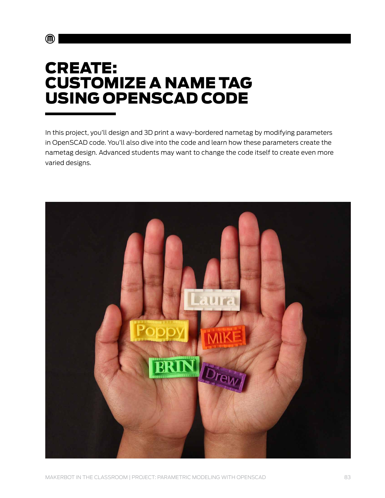## **CREATE:** CUSTOMIZE A NAME TAG USING OPENSCAD CODE

 $\mathbf{C}$ 

In this project, you'll design and 3D print a wavy-bordered nametag by modifying parameters in OpenSCAD code. You'll also dive into the code and learn how these parameters create the nametag design. Advanced students may want to change the code itself to create even more varied designs.

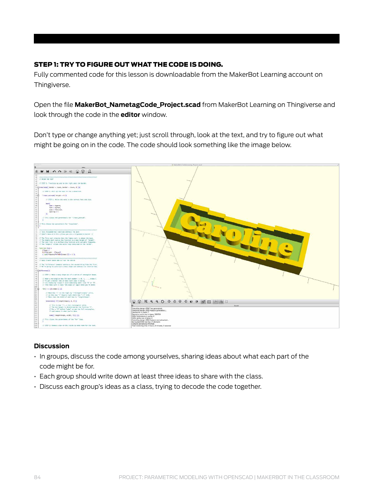#### Step 1: Try to figure out what the code is doing.

Fully commented code for this lesson is [downloadable from the MakerBot Learning account](https://www.thingiverse.com/MakerBotLearning/about) on Thingiverse.

Open the file **MakerBot\_NametagCode\_Project.scad** from MakerBot Learning on Thingiverse and look through the code in the **editor** window.

Don't type or change anything yet; just scroll through, look at the text, and try to figure out what might be going on in the code. The code should look something like the image below.



#### **Discussion**

- In groups, discuss the code among yourselves, sharing ideas about what each part of the code might be for.
- Each group should write down at least three ideas to share with the class.
- Discuss each group's ideas as a class, trying to decode the code together.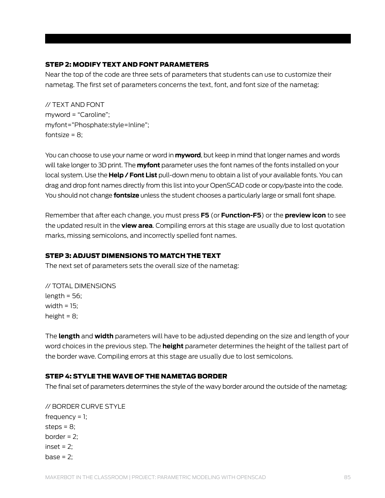#### Step 2: Modify text and font parameters

Near the top of the code are three sets of parameters that students can use to customize their nametag. The first set of parameters concerns the text, font, and font size of the nametag:

// TEXT AND FONT myword = "Caroline"; myfont="Phosphate:style=Inline"; fontsize =  $8$ :

You can choose to use your name or word in **myword**, but keep in mind that longer names and words will take longer to 3D print. The **myfont** parameter uses the font names of the fonts installed on your local system. Use the **Help / Font List** pull-down menu to obtain a list of your available fonts. You can drag and drop font names directly from this list into your OpenSCAD code or copy/paste into the code. You should not change **fontsize** unless the student chooses a particularly large or small font shape.

Remember that after each change, you must press **F5** (or **Function-F5**) or the **preview icon** to see the updated result in the **view area**. Compiling errors at this stage are usually due to lost quotation marks, missing semicolons, and incorrectly spelled font names.

#### Step 3: Adjust dimensions to match the text

The next set of parameters sets the overall size of the nametag:

// TOTAL DIMENSIONS length  $= 56$ ; width  $= 15$ : height =  $8$ ;

The **length** and **width** parameters will have to be adjusted depending on the size and length of your word choices in the previous step. The **height** parameter determines the height of the tallest part of the border wave. Compiling errors at this stage are usually due to lost semicolons.

#### Step 4: Style the wave of the nametag border

The final set of parameters determines the style of the wavy border around the outside of the nametag:

// BORDER CURVE STYLE frequency  $= 1$ ; steps  $= 8$ ; border  $= 2$ :  $inset = 2$ :  $base = 2$ ;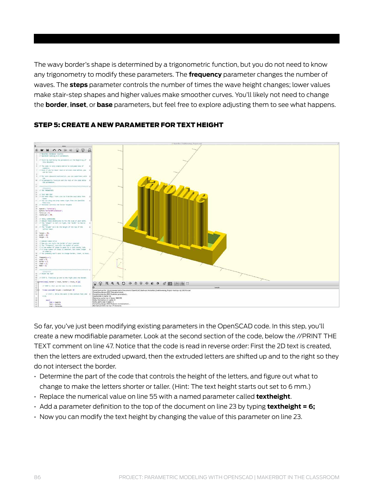The wavy border's shape is determined by a trigonometric function, but you do not need to know any trigonometry to modify these parameters. The **frequency** parameter changes the number of waves. The **steps** parameter controls the number of times the wave height changes; lower values make stair-step shapes and higher values make smoother curves. You'll likely not need to change the **border**, **inset**, or **base** parameters, but feel free to explore adjusting them to see what happens.



#### Step 5: Create a new parameter for text height

So far, you've just been modifying existing parameters in the OpenSCAD code. In this step, you'll create a new modifiable parameter. Look at the second section of the code, below the //PRINT THE TEXT comment on line 47. Notice that the code is read in reverse order: First the 2D text is created, then the letters are extruded upward, then the extruded letters are shifted up and to the right so they do not intersect the border.

- Determine the part of the code that controls the height of the letters, and figure out what to change to make the letters shorter or taller. (Hint: The text height starts out set to 6 mm.)
- Replace the numerical value on line 55 with a named parameter called **textheight**.
- Add a parameter definition to the top of the document on line 23 by typing **textheight = 6;**
- Now you can modify the text height by changing the value of this parameter on line 23.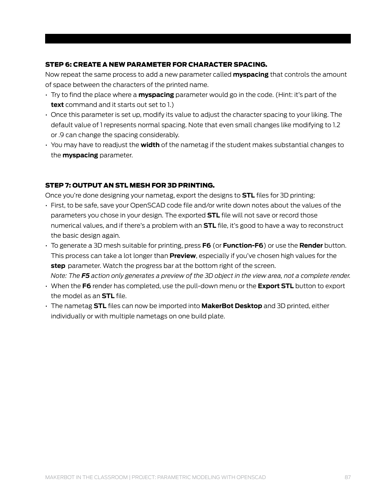#### Step 6: Create a new parameter for character spacing.

Now repeat the same process to add a new parameter called **myspacing** that controls the amount of space between the characters of the printed name.

- Try to find the place where a **myspacing** parameter would go in the code. (Hint: it's part of the **text** command and it starts out set to 1.)
- Once this parameter is set up, modify its value to adjust the character spacing to your liking. The default value of 1 represents normal spacing. Note that even small changes like modifying to 1.2 or .9 can change the spacing considerably.
- You may have to readjust the **width** of the nametag if the student makes substantial changes to the **myspacing** parameter.

#### Step 7: Output an STL mesh for 3D printing.

Once you're done designing your nametag, export the designs to **STL** files for 3D printing:

- First, to be safe, save your OpenSCAD code file and/or write down notes about the values of the parameters you chose in your design. The exported **STL** file will not save or record those numerical values, and if there's a problem with an **STL** file, it's good to have a way to reconstruct the basic design again.
- To generate a 3D mesh suitable for printing, press **F6** (or **Function-F6**) or use the **Render** button. This process can take a lot longer than **Preview**, especially if you've chosen high values for the **step** parameter. Watch the progress bar at the bottom right of the screen. *Note: The F5 action only generates a preview of the 3D object in the view area, not a complete render.*
- When the **F6** render has completed, use the pull-down menu or the **Export STL** button to export the model as an **STL** file.
- The nametag **STL** files can now be imported into **MakerBot Desktop** and 3D printed, either individually or with multiple nametags on one build plate.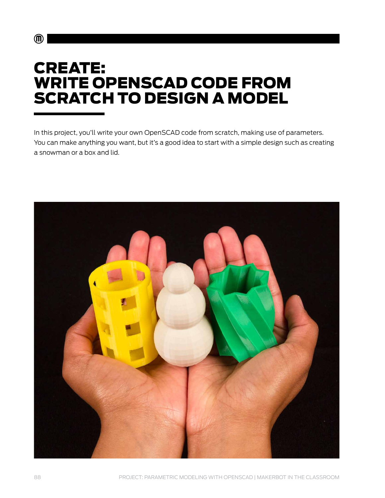## **CREATE:** WRITE OPENSCAD CODE FROM SCRATCH TO DESIGN A MODEL

In this project, you'll write your own OpenSCAD code from scratch, making use of parameters. You can make anything you want, but it's a good idea to start with a simple design such as creating a snowman or a box and lid.



 $\textcircled{\tiny{\textsf{m}}}$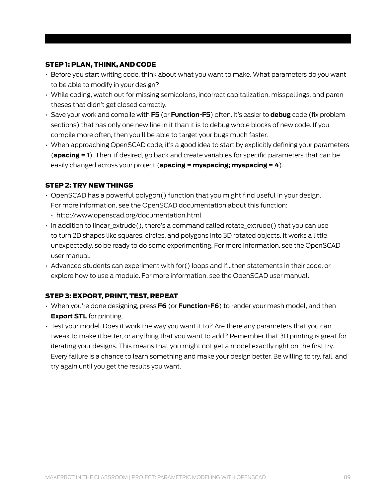#### Step 1: Plan, think, and code

- Before you start writing code, think about what you want to make. What parameters do you want to be able to modify in your design?
- While coding, watch out for missing semicolons, incorrect capitalization, misspellings, and paren theses that didn't get closed correctly.
- Save your work and compile with **F5** (or **Function-F5**) often. It's easier to **debug** code (fix problem sections) that has only one new line in it than it is to debug whole blocks of new code. If you compile more often, then you'll be able to target your bugs much faster.
- When approaching OpenSCAD code, it's a good idea to start by explicitly defining your parameters (**spacing = 1**). Then, if desired, go back and create variables for specific parameters that can be easily changed across your project (**spacing = myspacing; myspacing = 4**).

#### Step 2: Try new things

- OpenSCAD has a powerful polygon() function that you might find useful in your design. For more information, [see the OpenSCAD documentation about this function:](http://www.openscad.org/documentation.html)
	- <http://www.openscad.org/documentation.html>
- In addition to linear\_extrude(), there's a command called rotate\_extrude() that you can use to turn 2D shapes like squares, circles, and polygons into 3D rotated objects. It works a little unexpectedly, so be ready to do some experimenting. For more information, [see the OpenSCAD](http://www.openscad.org/documentation.html)  [user manual.](http://www.openscad.org/documentation.html)
- Advanced students can experiment with for() loops and if...then statements in their code, or explore how to use a module. For more information, [see the OpenSCAD user manual.](http://www.openscad.org/documentation.html)

#### Step 3: Export, print, test, repeat

- When you're done designing, press **F6** (or **Function-F6**) to render your mesh model, and then **Export STL** for printing.
- Test your model. Does it work the way you want it to? Are there any parameters that you can tweak to make it better, or anything that you want to add? Remember that 3D printing is great for iterating your designs. This means that you might not get a model exactly right on the first try. Every failure is a chance to learn something and make your design better. Be willing to try, fail, and try again until you get the results you want.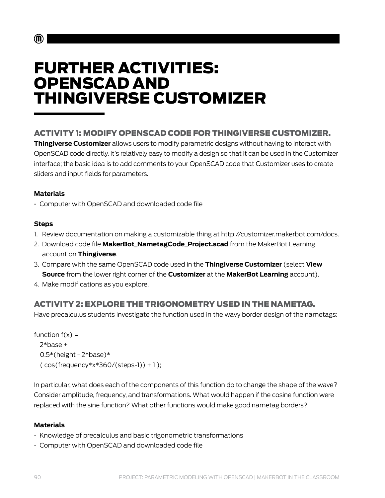# FURTHER ACTIVITIES: OPENSCAD AND THINGIVERSE CUSTOMIZER

### Activity 1: Modify OpenSCAD code FOR Thingiverse Customizer.

**Thingiverse Customizer** allows users to modify parametric designs without having to interact with OpenSCAD code directly. It's relatively easy to modify a design so that it can be used in the Customizer interface; the basic idea is to add comments to your OpenSCAD code that Customizer uses to create sliders and input fields for parameters.

#### **Materials**

• Computer with OpenSCAD and downloaded code file

### **Steps**

 $\mathbf{m}$ 

- 1. Review documentation on making a customizable thing at http://customizer.makerbot.com/docs.
- 2. Download code file **MakerBot\_NametagCode\_Project.scad** from the [MakerBot Learning](https://www.thingiverse.com/MakerBotLearning/about) [account](https://www.thingiverse.com/MakerBotLearning/about) on **Thingiverse**.
- 3. Compare with the same OpenSCAD code used in the **[Thingiverse Customizer](http://www.thingiverse.com/customizable/)** (select **View Source** from the lower right corner of the **Customizer** at the **MakerBot Learning** account).
- 4. Make modifications as you explore.

### Activity 2: Explore the trigonometry used in the nametag.

Have precalculus students investigate the function used in the wavy border design of the nametags:

```
function f(x) = 2*base + 
0.5*(height - 2*base)*(cos(frequency*x*360/(steps-1)) + 1);
```
In particular, what does each of the components of this function do to change the shape of the wave? Consider amplitude, frequency, and transformations. What would happen if the cosine function were replaced with the sine function? What other functions would make good nametag borders?

### **Materials**

- Knowledge of precalculus and basic trigonometric transformations
- Computer with OpenSCAD and downloaded code file